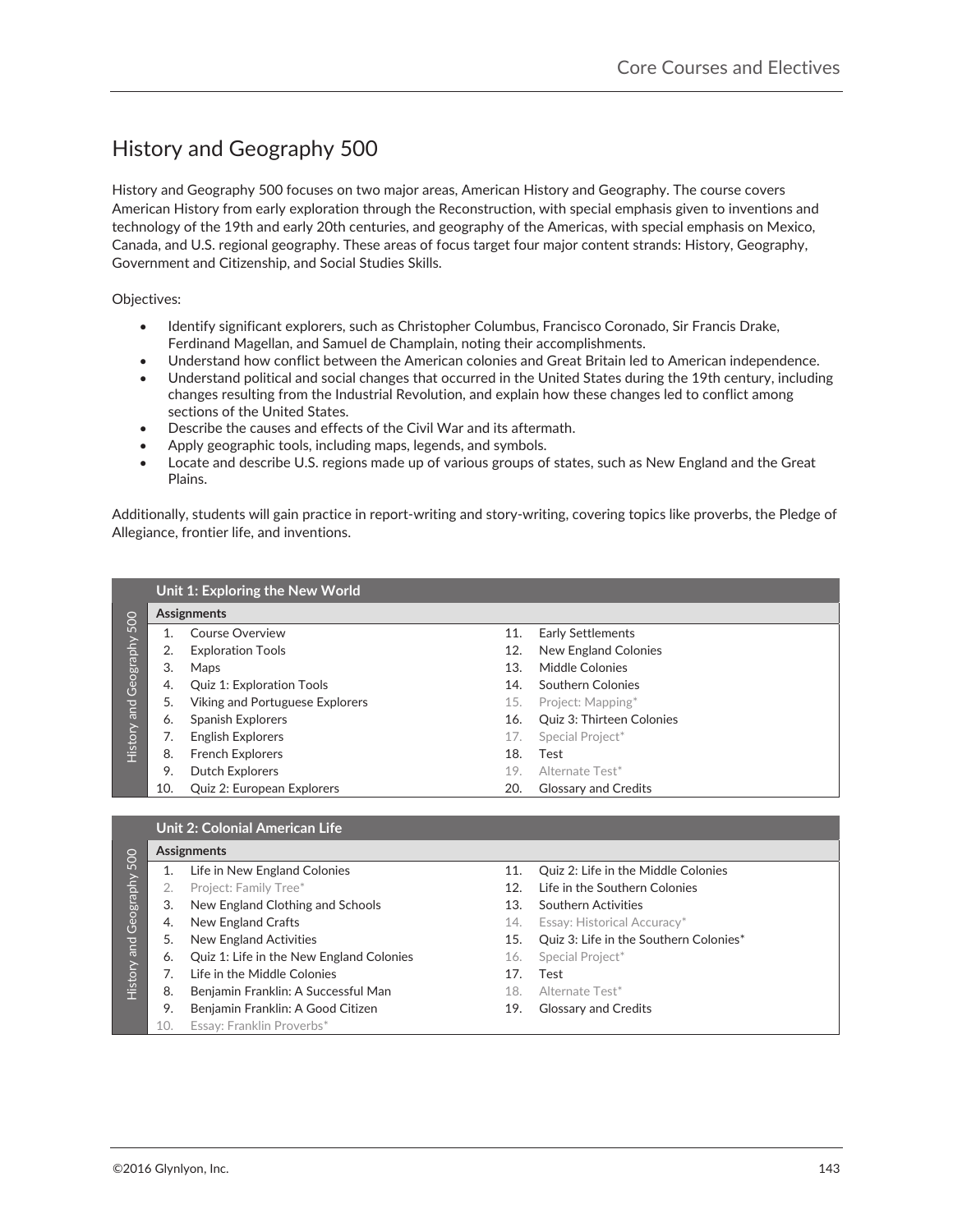## History and Geography 500-

History and Geography 500 focuses on two major areas, American History and Geography. The course covers American History from early exploration through the Reconstruction, with special emphasis given to inventions and technology of the 19th and early 20th centuries, and geography of the Americas, with special emphasis on Mexico, Canada, and U.S. regional geography. These areas of focus target four major content strands: History, Geography, Government and Citizenship, and Social Studies Skills.

Objectives:

- Identify significant explorers, such as Christopher Columbus, Francisco Coronado, Sir Francis Drake, Ferdinand Magellan, and Samuel de Champlain, noting their accomplishments.
- Understand how conflict between the American colonies and Great Britain led to American independence.
- Understand political and social changes that occurred in the United States during the 19th century, including changes resulting from the Industrial Revolution, and explain how these changes led to conflict among sections of the United States.
- **•** Describe the causes and effects of the Civil War and its aftermath.
- Apply geographic tools, including maps, legends, and symbols.
- Locate and describe U.S. regions made up of various groups of states, such as New England and the Great Plains.

Additionally, students will gain practice in report-writing and story-writing, covering topics like proverbs, the Pledge of Allegiance, frontier life, and inventions.

|                           |     | Unit 1: Exploring the New World  |     |                                  |  |  |  |  |
|---------------------------|-----|----------------------------------|-----|----------------------------------|--|--|--|--|
| History and Geography 500 |     | <b>Assignments</b>               |     |                                  |  |  |  |  |
|                           |     | Course Overview                  | 11. | <b>Early Settlements</b>         |  |  |  |  |
|                           | 2.  | <b>Exploration Tools</b>         | 12. | New England Colonies             |  |  |  |  |
|                           | 3.  | Maps                             | 13. | Middle Colonies                  |  |  |  |  |
|                           | 4.  | <b>Quiz 1: Exploration Tools</b> | 14. | Southern Colonies                |  |  |  |  |
|                           | 5.  | Viking and Portuguese Explorers  | 15. | Project: Mapping*                |  |  |  |  |
|                           | 6.  | Spanish Explorers                | 16. | <b>Ouiz 3: Thirteen Colonies</b> |  |  |  |  |
|                           |     | <b>English Explorers</b>         | 17. | Special Project*                 |  |  |  |  |
|                           | 8.  | <b>French Explorers</b>          | 18. | Test                             |  |  |  |  |
|                           | 9.  | Dutch Explorers                  | 19. | Alternate Test*                  |  |  |  |  |
|                           | 10. | Quiz 2: European Explorers       | 20. | <b>Glossary and Credits</b>      |  |  |  |  |

|             |     | <b>Unit 2: Colonial American Life</b>    |                 |                                            |  |  |  |
|-------------|-----|------------------------------------------|-----------------|--------------------------------------------|--|--|--|
| 500         |     | <b>Assignments</b>                       |                 |                                            |  |  |  |
|             |     | Life in New England Colonies             | 11.             | Quiz 2: Life in the Middle Colonies        |  |  |  |
|             |     | Project: Family Tree*                    | 12 <sub>1</sub> | Life in the Southern Colonies              |  |  |  |
| Geography   | 3.  | New England Clothing and Schools         | 13.             | Southern Activities                        |  |  |  |
|             | 4.  | New England Crafts                       | 14.             | Essay: Historical Accuracy*                |  |  |  |
|             | 5.  | New England Activities                   |                 | 15. Quiz 3: Life in the Southern Colonies* |  |  |  |
| History and | 6.  | Quiz 1: Life in the New England Colonies | 16.             | Special Project*                           |  |  |  |
|             |     | Life in the Middle Colonies              | 17.             | Test                                       |  |  |  |
|             | 8.  | Benjamin Franklin: A Successful Man      | 18.             | Alternate Test*                            |  |  |  |
|             | 9.  | Benjamin Franklin: A Good Citizen        | 19.             | <b>Glossary and Credits</b>                |  |  |  |
|             | 10. | Essay: Franklin Proverbs*                |                 |                                            |  |  |  |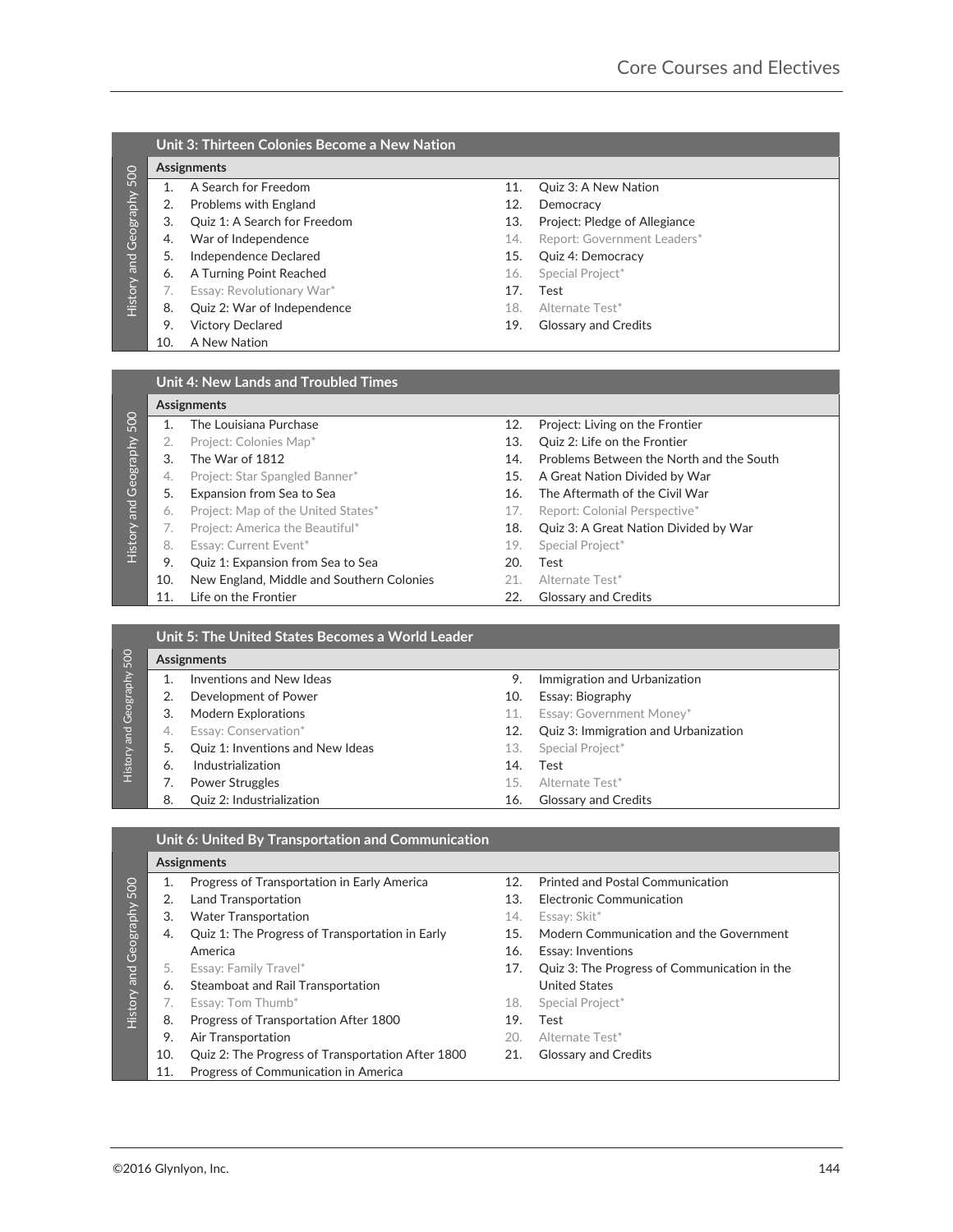| 500                          |     | <b>Assignments</b>           |     |                               |  |  |  |
|------------------------------|-----|------------------------------|-----|-------------------------------|--|--|--|
|                              |     | A Search for Freedom         | 11. | Quiz 3: A New Nation          |  |  |  |
|                              | 2.  | Problems with England        | 12. | Democracy                     |  |  |  |
|                              | 3.  | Quiz 1: A Search for Freedom | 13. | Project: Pledge of Allegiance |  |  |  |
|                              | 4.  | War of Independence          | 14. | Report: Government Leaders*   |  |  |  |
| <b>History and Geography</b> | 5.  | Independence Declared        | 15. | Quiz 4: Democracy             |  |  |  |
|                              | 6.  | A Turning Point Reached      | 16. | Special Project*              |  |  |  |
|                              |     | Essay: Revolutionary War*    | 17. | Test                          |  |  |  |
|                              | 8.  | Quiz 2: War of Independence  | 18. | Alternate Test*               |  |  |  |
|                              | 9.  | <b>Victory Declared</b>      | 19. | <b>Glossary and Credits</b>   |  |  |  |
|                              | 10. | A New Nation                 |     |                               |  |  |  |
|                              |     |                              |     |                               |  |  |  |

|             | Assignments |                                           |     |                                          |  |  |
|-------------|-------------|-------------------------------------------|-----|------------------------------------------|--|--|
| 500         |             | The Louisiana Purchase                    | 12. | Project: Living on the Frontier          |  |  |
|             |             | Project: Colonies Map*                    | 13. | Quiz 2: Life on the Frontier             |  |  |
| Geography   | 3.          | The War of 1812                           | 14. | Problems Between the North and the South |  |  |
|             | 4.          | Project: Star Spangled Banner*            | 15. | A Great Nation Divided by War            |  |  |
| <b>Pure</b> | 5.          | Expansion from Sea to Sea                 | 16. | The Aftermath of the Civil War           |  |  |
|             | 6.          | Project: Map of the United States*        | 17. | Report: Colonial Perspective*            |  |  |
|             |             | Project: America the Beautiful*           | 18. | Quiz 3: A Great Nation Divided by War    |  |  |
| History     | 8.          | Essay: Current Event*                     | 19. | Special Project*                         |  |  |
|             | 9.          | Quiz 1: Expansion from Sea to Sea         | 20. | Test                                     |  |  |
|             | 10.         | New England, Middle and Southern Colonies | 21. | Alternate Test*                          |  |  |
|             | 11.         | Life on the Frontier                      | 22. | <b>Glossary and Credits</b>              |  |  |

|                  |    | Unit 5: The United States Becomes a World Leader |     |                                      |  |  |  |
|------------------|----|--------------------------------------------------|-----|--------------------------------------|--|--|--|
| 500<br>Geography |    | <b>Assignments</b>                               |     |                                      |  |  |  |
|                  |    | Inventions and New Ideas                         | 9.  | Immigration and Urbanization         |  |  |  |
|                  |    | Development of Power                             | 10. | Essay: Biography                     |  |  |  |
|                  | 3. | <b>Modern Explorations</b>                       |     | Essay: Government Money*             |  |  |  |
| <b>lar</b>       | 4. | Essay: Conservation*                             | 12. | Quiz 3: Immigration and Urbanization |  |  |  |
|                  |    | Quiz 1: Inventions and New Ideas                 | 13. | Special Project*                     |  |  |  |
| History          | 6. | Industrialization                                | 14. | Test                                 |  |  |  |
|                  |    | <b>Power Struggles</b>                           | 15. | Alternate Test*                      |  |  |  |
|                  | 8. | <b>Ouiz 2: Industrialization</b>                 | 16. | <b>Glossary and Credits</b>          |  |  |  |

|                           |                             | <b>Assignments</b>                                 |     |                                              |  |  |  |  |
|---------------------------|-----------------------------|----------------------------------------------------|-----|----------------------------------------------|--|--|--|--|
|                           | 1.                          | A Search for Freedom                               | 11. | Quiz 3: A New Nation                         |  |  |  |  |
| History and Geography 500 | 2.                          | Problems with England                              | 12. | Democracy                                    |  |  |  |  |
|                           | 3.                          | Quiz 1: A Search for Freedom                       | 13. | Project: Pledge of Allegiance                |  |  |  |  |
|                           | 4.                          | War of Independence                                | 14. | Report: Government Leaders*                  |  |  |  |  |
|                           | 5.                          | Independence Declared                              | 15. | Quiz 4: Democracy                            |  |  |  |  |
|                           | 6.                          | A Turning Point Reached                            | 16. | Special Project*                             |  |  |  |  |
|                           | 7.                          | Essay: Revolutionary War*                          | 17. | Test                                         |  |  |  |  |
|                           | 8.                          | Quiz 2: War of Independence                        | 18. | Alternate Test*                              |  |  |  |  |
|                           | 9.                          | <b>Victory Declared</b>                            | 19. | <b>Glossary and Credits</b>                  |  |  |  |  |
|                           | 10.                         | A New Nation                                       |     |                                              |  |  |  |  |
|                           |                             |                                                    |     |                                              |  |  |  |  |
|                           |                             |                                                    |     |                                              |  |  |  |  |
|                           |                             | <b>Unit 4: New Lands and Troubled Times</b>        |     |                                              |  |  |  |  |
|                           |                             | Assignments                                        |     |                                              |  |  |  |  |
| History and Geography 500 | 1.                          | The Louisiana Purchase                             | 12. | Project: Living on the Frontier              |  |  |  |  |
|                           | 2.                          | Project: Colonies Map*                             | 13. | Quiz 2: Life on the Frontier                 |  |  |  |  |
|                           | 3.                          | The War of 1812                                    | 14. | Problems Between the North and the South     |  |  |  |  |
|                           | 4.                          | Project: Star Spangled Banner*                     | 15. | A Great Nation Divided by War                |  |  |  |  |
|                           | 5.                          | Expansion from Sea to Sea                          | 16. | The Aftermath of the Civil War               |  |  |  |  |
|                           | 6.                          | Project: Map of the United States*                 | 17. | Report: Colonial Perspective*                |  |  |  |  |
|                           | 7.                          | Project: America the Beautiful*                    | 18. | Quiz 3: A Great Nation Divided by War        |  |  |  |  |
|                           | 8.                          | Essay: Current Event*                              | 19. | Special Project*                             |  |  |  |  |
|                           |                             |                                                    | 20. | Test                                         |  |  |  |  |
|                           | 9.                          | Quiz 1: Expansion from Sea to Sea                  |     |                                              |  |  |  |  |
|                           | 10.                         | New England, Middle and Southern Colonies          | 21. | Alternate Test*                              |  |  |  |  |
|                           | 11.                         | Life on the Frontier                               | 22. | <b>Glossary and Credits</b>                  |  |  |  |  |
|                           |                             |                                                    |     |                                              |  |  |  |  |
|                           |                             | Unit 5: The United States Becomes a World Leader   |     |                                              |  |  |  |  |
| History and Geography 500 |                             | <b>Assignments</b>                                 |     |                                              |  |  |  |  |
|                           | 1.                          | Inventions and New Ideas                           | 9.  | Immigration and Urbanization                 |  |  |  |  |
|                           | 2.                          | Development of Power                               | 10. | Essay: Biography                             |  |  |  |  |
|                           | 3.                          | Modern Explorations                                | 11. | Essay: Government Money*                     |  |  |  |  |
|                           | 4.                          | Essay: Conservation*                               | 12. | Quiz 3: Immigration and Urbanization         |  |  |  |  |
|                           | 5.                          | Quiz 1: Inventions and New Ideas                   | 13. | Special Project*                             |  |  |  |  |
|                           | 6.                          | Industrialization                                  | 14. | Test                                         |  |  |  |  |
|                           | 7.                          | <b>Power Struggles</b>                             | 15. | Alternate Test*                              |  |  |  |  |
|                           | 8.                          | Quiz 2: Industrialization                          | 16. | <b>Glossary and Credits</b>                  |  |  |  |  |
|                           |                             |                                                    |     |                                              |  |  |  |  |
|                           |                             | Unit 6: United By Transportation and Communication |     |                                              |  |  |  |  |
|                           |                             |                                                    |     |                                              |  |  |  |  |
|                           |                             | Assignments                                        |     |                                              |  |  |  |  |
|                           | 1.                          | Progress of Transportation in Early America        | 12. | <b>Printed and Postal Communication</b>      |  |  |  |  |
|                           | 2.                          | <b>Land Transportation</b>                         | 13. | <b>Electronic Communication</b>              |  |  |  |  |
|                           | 3.                          | <b>Water Transportation</b>                        | 14. | Essay: Skit*                                 |  |  |  |  |
|                           | 4.                          | Quiz 1: The Progress of Transportation in Early    | 15. | Modern Communication and the Government      |  |  |  |  |
| History and Geography 500 |                             | America                                            | 16. | Essay: Inventions                            |  |  |  |  |
|                           | 5.                          | Essay: Family Travel*                              | 17. | Quiz 3: The Progress of Communication in the |  |  |  |  |
|                           | 6.                          | Steamboat and Rail Transportation                  |     | <b>United States</b>                         |  |  |  |  |
|                           | 7.                          | Essay: Tom Thumb*                                  | 18. | Special Project*                             |  |  |  |  |
|                           | 8.                          | Progress of Transportation After 1800              | 19. | Test                                         |  |  |  |  |
|                           | 9.                          | Air Transportation                                 | 20. | Alternate Test*                              |  |  |  |  |
|                           | 10.                         | Quiz 2: The Progress of Transportation After 1800  | 21. | <b>Glossary and Credits</b>                  |  |  |  |  |
|                           | 11.                         | Progress of Communication in America               |     |                                              |  |  |  |  |
|                           |                             |                                                    |     |                                              |  |  |  |  |
|                           |                             |                                                    |     |                                              |  |  |  |  |
|                           |                             |                                                    |     |                                              |  |  |  |  |
|                           |                             |                                                    |     |                                              |  |  |  |  |
|                           |                             |                                                    |     |                                              |  |  |  |  |
|                           | ©2016 Glynlyon, Inc.<br>144 |                                                    |     |                                              |  |  |  |  |